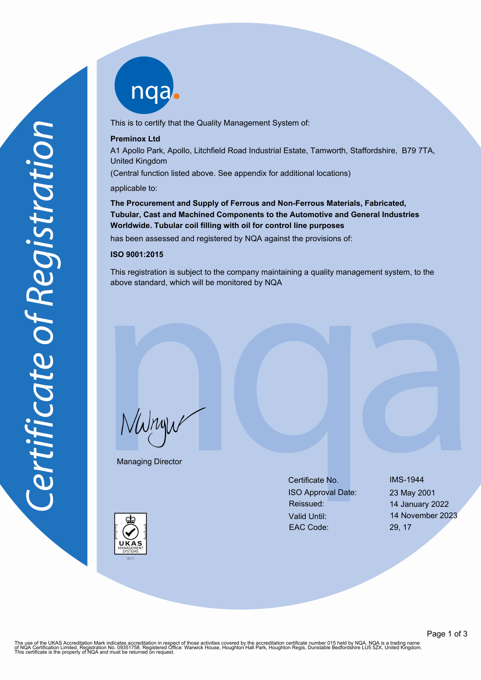nqa

This is to certify that the Quality Management System of:

### **Preminox Ltd**

A1 Apollo Park, Apollo, Litchfield Road Industrial Estate, Tamworth, Staffordshire, B79 7TA, United Kingdom

(Central function listed above. See appendix for additional locations)

applicable to:

**The Procurement and Supply of Ferrous and Non-Ferrous Materials, Fabricated, Tubular, Cast and Machined Components to the Automotive and General Industries Worldwide. Tubular coil filling with oil for control line purposes**

has been assessed and registered by NQA against the provisions of:

# **ISO 9001:2015**

This registration is subject to the company maintaining a quality management system, to the above standard, which will be monitored by NQA

NWnyw

Managing Director

Certificate No. IMS-1944 ISO Approval Date: 23 May 2001 Reissued: 14 January 2022 Valid Until: 14 November 2023 EAC Code: 29, 17

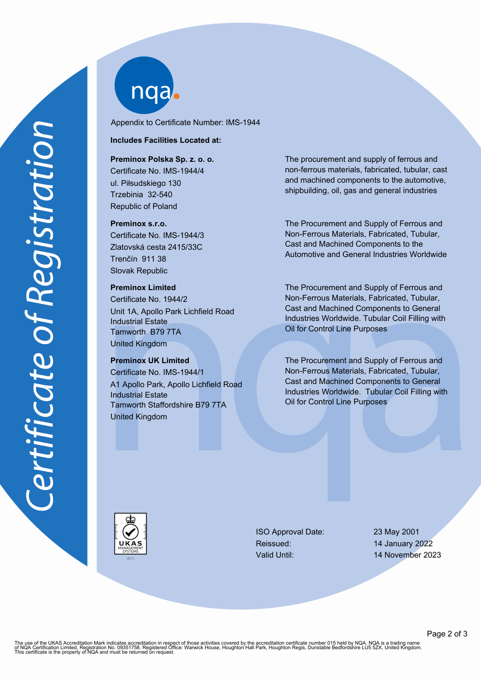nqab

Appendix to Certificate Number: IMS-1944

#### **Includes Facilities Located at:**

#### **Preminox Polska Sp. z. o. o.**

Certificate No. IMS-1944/4 ul. Piłsudskiego 130 Trzebinia 32-540 Republic of Poland

#### **Preminox s.r.o.**

Certificate No. IMS-1944/3 Zlatovská cesta 2415/33C Trenčín 911 38 Slovak Republic

### **Preminox Limited**

Certificate No. 1944/2 Unit 1A, Apollo Park Lichfield Road Industrial Estate Tamworth B79 7TA United Kingdom

## **Preminox UK Limited**

Certificate No. IMS-1944/1 A1 Apollo Park, Apollo Lichfield Road Industrial Estate Tamworth Staffordshire B79 7TA United Kingdom

The procurement and supply of ferrous and non-ferrous materials, fabricated, tubular, cast and machined components to the automotive, shipbuilding, oil, gas and general industries

The Procurement and Supply of Ferrous and Non-Ferrous Materials, Fabricated, Tubular, Cast and Machined Components to the Automotive and General Industries Worldwide

The Procurement and Supply of Ferrous and Non-Ferrous Materials, Fabricated, Tubular, Cast and Machined Components to General Industries Worldwide. Tubular Coil Filling with Oil for Control Line Purposes

The Procurement and Supply of Ferrous and Non-Ferrous Materials, Fabricated, Tubular, Cast and Machined Components to General Industries Worldwide. Tubular Coil Filling with Oil for Control Line Purposes



ISO Approval Date: 23 May 2001 Reissued: 14 January 2022

Valid Until: 14 November 2023